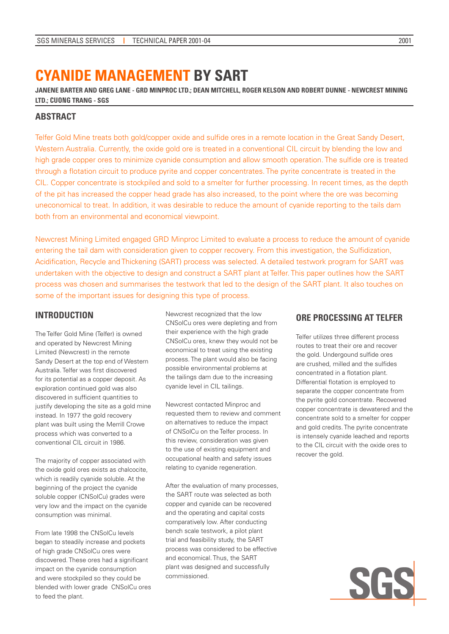# **CYANIDE MANAGEMENT BY SART**

**JANENE BARTER AND GREG LANE - GRD MINPROC LTD.; DEAN MITCHELL, ROGER KELSON AND ROBERT DUNNE - NEWCREST MINING LTD.; CUONG TRANG - SGS**

# **ABSTRACT**

Telfer Gold Mine treats both gold/copper oxide and sulfide ores in a remote location in the Great Sandy Desert, Western Australia. Currently, the oxide gold ore is treated in a conventional CIL circuit by blending the low and high grade copper ores to minimize cyanide consumption and allow smooth operation. The sulfide ore is treated through a flotation circuit to produce pyrite and copper concentrates. The pyrite concentrate is treated in the CIL. Copper concentrate is stockpiled and sold to a smelter for further processing. In recent times, as the depth of the pit has increased the copper head grade has also increased, to the point where the ore was becoming uneconomical to treat. In addition, it was desirable to reduce the amount of cyanide reporting to the tails dam both from an environmental and economical viewpoint.

Newcrest Mining Limited engaged GRD Minproc Limited to evaluate a process to reduce the amount of cyanide entering the tail dam with consideration given to copper recovery. From this investigation, the Sulfidization, Acidification, Recycle and Thickening (SART) process was selected. A detailed testwork program for SART was undertaken with the objective to design and construct a SART plant at Telfer. This paper outlines how the SART process was chosen and summarises the testwork that led to the design of the SART plant. It also touches on some of the important issues for designing this type of process.

# **INTRODUCTION**

The Telfer Gold Mine (Telfer) is owned and operated by Newcrest Mining Limited (Newcrest) in the remote Sandy Desert at the top end of Western Australia. Telfer was first discovered for its potential as a copper deposit. As exploration continued gold was also discovered in sufficient quantities to justify developing the site as a gold mine instead. In 1977 the gold recovery plant was built using the Merrill Crowe process which was converted to a conventional CIL circuit in 1986.

The majority of copper associated with the oxide gold ores exists as chalcocite, which is readily cyanide soluble. At the beginning of the project the cyanide soluble copper (CNSolCu) grades were very low and the impact on the cyanide consumption was minimal.

From late 1998 the CNSolCu levels began to steadily increase and pockets of high grade CNSolCu ores were discovered. These ores had a significant impact on the cyanide consumption and were stockpiled so they could be blended with lower grade CNSolCu ores to feed the plant.

Newcrest recognized that the low CNSolCu ores were depleting and from their experience with the high grade CNSolCu ores, knew they would not be economical to treat using the existing process. The plant would also be facing possible environmental problems at the tailings dam due to the increasing cyanide level in CIL tailings.

Newcrest contacted Minproc and requested them to review and comment on alternatives to reduce the impact of CNSolCu on the Telfer process. In this review, consideration was given to the use of existing equipment and occupational health and safety issues relating to cyanide regeneration.

After the evaluation of many processes, the SART route was selected as both copper and cyanide can be recovered and the operating and capital costs comparatively low. After conducting bench scale testwork, a pilot plant trial and feasibility study, the SART process was considered to be effective and economical. Thus, the SART plant was designed and successfully commissioned.

# **ORE PROCESSING AT TELFER**

Telfer utilizes three different process routes to treat their ore and recover the gold. Undergound sulfide ores are crushed, milled and the sulfides concentrated in a flotation plant. Differential flotation is employed to separate the copper concentrate from the pyrite gold concentrate. Recovered copper concentrate is dewatered and the concentrate sold to a smelter for copper and gold credits. The pyrite concentrate is intensely cyanide leached and reports to the CIL circuit with the oxide ores to recover the gold.

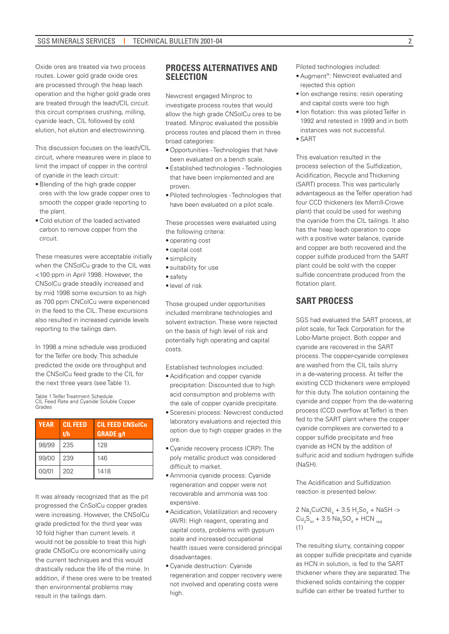Oxide ores are treated via two process routes. Lower gold grade oxide ores are processed through the heap leach operation and the higher gold grade ores are treated through the leach/CIL circuit. this circuit comprises crushing, milling, cyanide leach, CIL followed by cold elution, hot elution and electrowinning.

This discussion focuses on the leach/CIL circuit, where measures were in place to limit the impact of copper in the control of cyanide in the leach circuit:

- • Blending of the high grade copper ores with the low grade copper ores to smooth the copper grade reporting to the plant.
- • Cold elution of the loaded activated carbon to remove copper from the circuit.

These measures were acceptable initially when the CNSolCu grade to the CIL was <100 ppm in April 1998. However, the CNSolCu grade steadily increased and by mid 1998 some excursion to as high as 700 ppm CNColCu were experienced in the feed to the CIL. These excursions also resulted in increased cyanide levels reporting to the tailings dam.

In 1998 a mine schedule was produced for the Telfer ore body. This schedule predicted the oxide ore throughput and the CNSolCu feed grade to the CIL for the next three years (see Table 1).

Table 1 Telfer Treatment Schedule CIL Feed Rate and Cyanide Soluble Copper Grades

| <b>YEAR</b> | <b>CIL FEED</b><br>t/h | <b>CIL FEED CNSolCu</b><br><b>GRADE</b> g/t |
|-------------|------------------------|---------------------------------------------|
| 98/99       | 235                    | 128                                         |
| 99/00       | 239                    | 146                                         |
| 00/01       | 202                    | 1418                                        |

It was already recognized that as the pit progressed the CnSolCu copper grades were increasing. However, the CNSolCu grade predicted for the third year was 10 fold higher than current levels, it would not be possible to treat this high grade CNSolCu ore economically using the current techniques and this would drastically reduce the life of the mine. In addition, if these ores were to be treated then environmental problems may result in the tailings dam.

# **PROCESS ALTERNATIVES AND SELECTION**

Newcrest engaged Minproc to investigate process routes that would allow the high grade CNSolCu ores to be treated. Minproc evaluated the possible process routes and placed them in three broad categories:

- • Opportunities Technologies that have been evaluated on a bench scale.
- • Established technologies Technologies that have been implemented and are proven.
- • Piloted technologies Technologies that have been evaluated on a pilot scale.

These processes were evaluated using the following criteria:

- • operating cost
- • capital cost
- simplicity
- suitability for use
- safety
- • level of risk

Those grouped under opportunities included membrane technologies and solvent extraction. These were rejected on the basis of high level of risk and potentially high operating and capital costs.

Established technologies included:

- • Acidification and copper cyanide precipitation: Discounted due to high acid consumption and problems with the sale of copper cyanide precipitate.
- • Sceresini process: Newcrest conducted laboratory evaluations and rejected this option due to high copper grades in the ore.
- • Cyanide recovery process (CRP): The poly metallic product was considered difficult to market.
- • Ammonia cyanide process: Cyanide regeneration and copper were not recoverable and ammonia was too expensive.
- • Acidication, Volatilization and recovery (AVR): High reagent, operating and capital costs, problems with gypsum scale and increased occupational health issues were considered principal disadvantages.
- • Cyanide destruction: Cyanide regeneration and copper recovery were not involved and operating costs were high.

Piloted technologies included:

- Augment<sup>®</sup>: Newcrest evaluated and rejected this option
- Ion exchange resins: resin operating and capital costs were too high
- Ion flotation: this was piloted Telfer in 1992 and retested in 1999 and in both instances was not successful.
- $\bullet$  SART

This evaluation resulted in the process selection of the Sulfidization, Acidification, Recycle and Thickening (SART) process. This was particularly advantageous as the Telfer operation had four CCD thickeners (ex Merrill-Crowe plant) that could be used for washing the cyanide from the CIL tailings. It also has the heap leach operation to cope with a positive water balance, cyanide and copper are both recovered and the copper sulfide produced from the SART plant could be sold with the copper sulfide concentrate produced from the flotation plant.

# **SART PROCESS**

SGS had evaluated the SART process, at pilot scale, for Teck Corporation for the Lobo-Marte project. Both copper and cyanide are recovered in the SART process. The copper-cyanide complexes are washed from the CIL tails slurry in a de-watering process. At telfer the existing CCD thickeners were employed for this duty. The solution containing the cyanide and copper from the de-watering process (CCD overflow at Telfer) is then fed to the SART plant where the copper cyanide complexes are converted to a copper sulfide precipitate and free cyanide as HCN by the addition of sulfuric acid and sodium hydrogen sulfide (NaSH).

The Acidification and Sulfidization reaction is presented below:

 $2 \text{ Na}_3\text{Cu(CN)}_4 + 3.5 \text{ H}_2\text{SO}_4 + \text{NaSH} \rightarrow$  $Cu_2S_{(s)} + 3.5 Na_2SO_4 + HCN_{(aq)}$ (1)

The resulting slurry, containing copper as copper sulfide precipitate and cyanide as HCN in solution, is fed to the SART thickener where they are separated. The thickened solids containing the copper sulfide can either be treated further to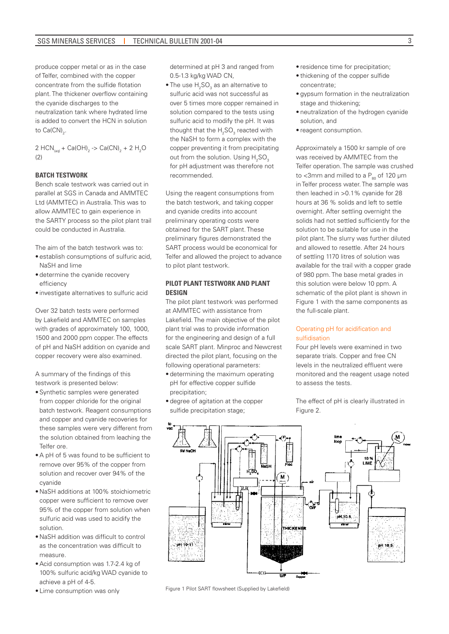produce copper metal or as in the case of Telfer, combined with the copper concentrate from the sulfide flotation plant. The thickener overflow containing the cyanide discharges to the neutralization tank where hydrated lime is added to convert the HCN in solution to  $Ca(CN)_{2}$ .

2 HCN<sub>(aq)</sub> + Ca(OH)<sub>2</sub> -> Ca(CN)<sub>2</sub> + 2 H<sub>2</sub>O  $(2)$ 

### **BATCH TESTWORK**

Bench scale testwork was carried out in parallel at SGS in Canada and AMMTEC Ltd (AMMTEC) in Australia. This was to allow AMMTEC to gain experience in the SARTY process so the pilot plant trail could be conducted in Australia.

The aim of the batch testwork was to:

- establish consumptions of sulfuric acid, NaSH and lime
- determine the cyanide recovery efficiency
- • investigate alternatives to sulfuric acid

Over 32 batch tests were performed by Lakefield and AMMTEC on samples with grades of approximately 100, 1000, 1500 and 2000 ppm copper. The effects of pH and NaSH addition on cyanide and copper recovery were also examined.

A summary of the findings of this testwork is presented below:

- Synthetic samples were generated from copper chloride for the original batch testwork. Reagent consumptions and copper and cyanide recoveries for these samples were very different from the solution obtained from leaching the Telfer ore.
- • A pH of 5 was found to be sufficient to remove over 95% of the copper from solution and recover over 94% of the cyanide
- • NaSH additions at 100% stoichiometric copper were sufficient to remove over 95% of the copper from solution when sulfuric acid was used to acidify the solution.
- • NaSH addition was difficult to control as the concentration was difficult to measure.
- Acid consumption was 1.7-2.4 kg of 100% sulfuric acid/kg WAD cyanide to achieve a pH of 4-5.
- • Lime consumption was only

determined at pH 3 and ranged from 0.5-1.3 kg/kg WAD CN,

 $\bullet$  The use  $\rm H_2SO_3$  as an alternative to sulfuric acid was not successful as over 5 times more copper remained in solution compared to the tests using sulfuric acid to modify the pH. It was thought that the  $H_2SO_3$  reacted with the NaSH to form a complex with the copper preventing it from precipitating out from the solution. Using  $H_{2}SO_{3}$ for pH adjustment was therefore not recommended.

Using the reagent consumptions from the batch testwork, and taking copper and cyanide credits into account preliminary operating costs were obtained for the SART plant. These preliminary figures demonstrated the SART process would be economical for Telfer and allowed the project to advance to pilot plant testwork.

### **PILOT PLANT TESTWORK AND PLANT DESIGN**

The pilot plant testwork was performed at AMMTEC with assistance from Lakefield. The main objective of the pilot plant trial was to provide information for the engineering and design of a full scale SART plant. Minproc and Newcrest directed the pilot plant, focusing on the following operational parameters:

- determining the maximum operating pH for effective copper sulfide precipitation;
- degree of agitation at the copper sulfide precipitation stage;
- residence time for precipitation;
- thickening of the copper sulfide concentrate;
- • gypsum formation in the neutralization stage and thickening;
- neutralization of the hydrogen cyanide solution, and
- reagent consumption.

Approximately a 1500 kr sample of ore was received by AMMTEC from the Telfer operation. The sample was crushed to <3mm and milled to a  $P_{\text{on}}$  of 120 µm in Telfer process water. The sample was then leached in >0.1% cyanide for 28 hours at 36 % solids and left to settle overnight. After settling overnight the solids had not settled sufficiently for the solution to be suitable for use in the pilot plant. The slurry was further diluted and allowed to resettle. After 24 hours of settling 1170 litres of solution was available for the trail with a copper grade of 980 ppm. The base metal grades in this solution were below 10 ppm. A schematic of the pilot plant is shown in Figure 1 with the same components as the full-scale plant.

### Operating pH for acidification and sulfidisation

Four pH levels were examined in two separate trials. Copper and free CN levels in the neutralized effluent were monitored and the reagent usage noted to assess the tests.

The effect of pH is clearly illustrated in Figure 2.



Figure 1 Pilot SART flowsheet (Supplied by Lakefield)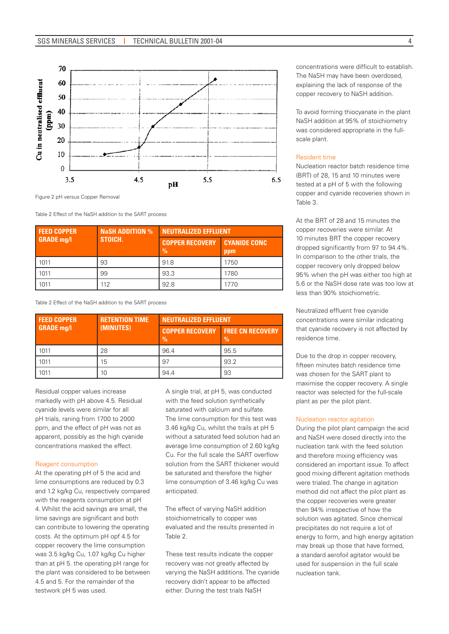

Figure 2 pH versus Copper Removal

Table 2 Effect of the NaSH addition to the SART process

| <b>FEED COPPER</b><br><b>GRADE mg/l</b> | <b>NaSH ADDITION %</b><br>STOICH. | <b>NEUTRALIZED EFFLUENT</b>             |                            |
|-----------------------------------------|-----------------------------------|-----------------------------------------|----------------------------|
|                                         |                                   | <b>COPPER RECOVERY</b><br>$\frac{0}{0}$ | <b>CYANIDE CONC</b><br>ppm |
| 1011                                    | 93                                | 91.8                                    | 1750                       |
| 1011                                    | 99                                | 93.3                                    | 1780                       |
| 1011                                    | 112                               | 92.8                                    | 1770                       |

Table 2 Effect of the NaSH addition to the SART process

| <b>FEED COPPER</b><br><b>GRADE mg/l</b> | <b>RETENTION TIME.</b><br>(MINUTES) | <b>NEUTRALIZED EFFLUENT</b>             |                               |
|-----------------------------------------|-------------------------------------|-----------------------------------------|-------------------------------|
|                                         |                                     | <b>COPPER RECOVERY</b><br>$\frac{9}{6}$ | <b>FREE CN RECOVERY</b><br>0% |
| 1011                                    | 28                                  | 96.4                                    | 95.5                          |
| 1011                                    | 15                                  | 97                                      | 93.2                          |
| 1011                                    | 10                                  | 94.4                                    | 93                            |

Residual copper values increase markedly with pH above 4.5. Residual cyanide levels were similar for all pH trials, raning from 1700 to 2000 ppm, and the effect of pH was not as apparent, possibly as the high cyanide concentrations masked the effect.

### Reagent consumption

At the operating pH of 5 the acid and lime consumptions are reduced by 0.3 and 1.2 kg/kg Cu, respectively compared with the reagents consumption at pH 4. Whilst the acid savings are small, the lime savings are significant and both can contribute to lowering the operating costs. At the optimum pH opf 4.5 for copper recovery the lime consumption was 3.5 kg/kg Cu, 1.07 kg/kg Cu higher than at pH 5. the operating pH range for the plant was considered to be between 4.5 and 5. For the remainder of the testwork pH 5 was used.

A single trial, at pH 5, was conducted with the feed solution synthetically saturated with calcium and sulfate. The lime consumption for this test was 3.46 kg/kg Cu, whilst the trails at pH 5 without a saturated feed solution had an average lime consumption of 2.60 kg/kg Cu. For the full scale the SART overflow solution from the SART thickener would be saturated and therefore the higher lime consumption of 3.46 kg/kg Cu was anticipated.

The effect of varying NaSH addition stoichiometrically to copper was evaluated and the results presented in Table 2.

These test results indicate the copper recovery was not greatly affected by varying the NaSH additions. The cyanide recovery didn't appear to be affected either. During the test trials NaSH

concentrations were difficult to establish. The NaSH may have been overdosed, explaining the lack of response of the copper recovery to NaSH addition.

To avoid forming thiocyanate in the plant NaSH addition at 95% of stoichiometry was considered appropriate in the fullscale plant.

#### Resident time

Nucleation reactor batch residence time (BRT) of 28, 15 and 10 minutes were tested at a pH of 5 with the following copper and cyanide recoveries shown in Table 3.

At the BRT of 28 and 15 minutes the copper recoveries were similar. At 10 minutes BRT the copper recovery dropped significantly from 97 to 94.4%. In comparison to the other trials, the copper recovery only dropped below 95% when the pH was either too high at 5.6 or the NaSH dose rate was too low at less than 90% stoichiometric.

Neutralized effluent free cyanide concentrations were similar indicating that cyanide recovery is not affected by residence time.

Due to the drop in copper recovery, fifteen minutes batch residence time was chosen for the SART plant to maximise the copper recovery. A single reactor was selected for the full-scale plant as per the pilot plant.

### Nucleation reactor agitation

During the pilot plant campaign the acid and NaSH were dosed directly into the nucleation tank with the feed solution and therefore mixing efficiency was considered an important issue. To affect good mixing different agitation methods were trialed. The change in agitation method did not affect the pilot plant as the copper recoveries were greater then 94% irrespective of how the solution was agitated. Since chemical precipitates do not require a lot of energy to form, and high energy agitation may break up those that have formed, a standard aerofoil agitator would be used for suspension in the full scale nucleation tank.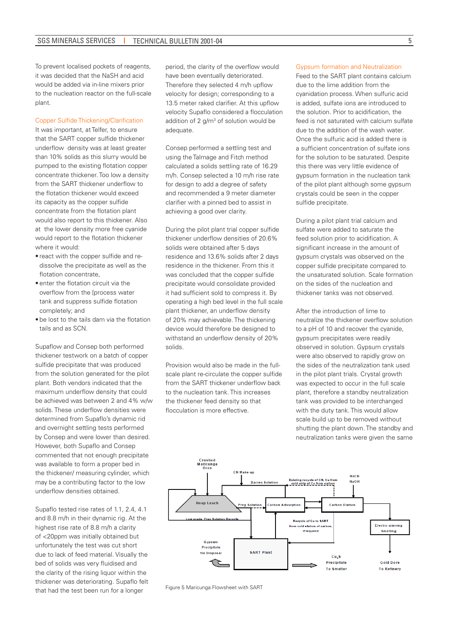To prevent localised pockets of reagents, it was decided that the NaSH and acid would be added via in-line mixers prior to the nucleation reactor on the full-scale plant.

### Copper Sulfide Thickening/Clarification

It was important, at Telfer, to ensure that the SART copper sulfide thickener underflow density was at least greater than 10% solids as this slurry would be pumped to the existing flotation copper concentrate thickener. Too low a density from the SART thickener underflow to the flotation thickener would exceed its capacity as the copper sulfide concentrate from the flotation plant would also report to this thickener. Also at the lower density more free cyanide would report to the flotation thickener where it would:

- react with the copper sulfide and redissolve the precipitate as well as the flotation concentrate,
- enter the flotation circuit via the overflow from the [process water tank and suppress sulfide flotation completely; and
- be lost to the tails dam via the flotation tails and as SCN.

Supaflow and Consep both performed thickener testwork on a batch of copper sulfide precipitate that was produced from the solution generated for the pilot plant. Both vendors indicated that the maximum underflow density that could be achieved was between 2 and 4% w/w solids. These underflow densities were determined from Supaflo's dynamic rid and overnight settling tests performed by Consep and were lower than desired. However, both Supaflo and Consep commented that not enough precipitate was available to form a proper bed in the thickener/ measuring cylinder, which may be a contributing factor to the low underflow densities obtained.

Supaflo tested rise rates of 1.1, 2.4, 4.1 and 8.8 m/h in their dynamic rig. At the highest rise rate of 8.8 m/h a clarity of <20ppm was initially obtained but unfortunately the test was cut short due to lack of feed material. Visually the bed of solids was very fluidised and the clarity of the rising liquor within the thickener was deteriorating. Supaflo felt that had the test been run for a longer

period, the clarity of the overflow would have been eventually deteriorated. Therefore they selected 4 m/h upflow velocity for design; corresponding to a 13.5 meter raked clarifier. At this upflow velocity Supaflo considered a flocculation addition of 2  $g/m^3$  of solution would be adequate.

Consep performed a settling test and using the Talmage and Fitch method calculated a solids settling rate of 16.29 m/h. Consep selected a 10 m/h rise rate for design to add a degree of safety and recommended a 9 meter diameter clarifier with a pinned bed to assist in achieving a good over clarity.

During the pilot plant trial copper sulfide thickener underflow densities of 20.6% solids were obtained after 5 days residence and 13.6% solids after 2 days residence in the thickener. From this it was concluded that the copper sulfide precipitate would consolidate provided it had sufficient sold to compress it. By operating a high bed level in the full scale plant thickener, an underflow density of 20% may achievable. The thickening device would therefore be designed to withstand an underflow density of 20% solids.

Provision would also be made in the fullscale plant re-circulate the copper sulfide from the SART thickener underflow back to the nucleation tank. This increases the thickener feed density so that flocculation is more effective.

#### Gypsum formation and Neutralization

Feed to the SART plant contains calcium due to the lime addition from the cyanidation process. When sulfuric acid is added, sulfate ions are introduced to the solution. Prior to acidification, the feed is not saturated with calcium sulfate due to the addition of the wash water. Once the sulfuric acid is added there is a sufficient concentration of sulfate ions for the solution to be saturated. Despite this there was very little evidence of gypsum formation in the nucleation tank of the pilot plant although some gypsum crystals could be seen in the copper sulfide precipitate.

During a pilot plant trial calcium and sulfate were added to saturate the feed solution prior to acidification. A significant increase in the amount of gypsum crystals was observed on the copper sulfide precipitate compared to the unsaturated solution. Scale formation on the sides of the nucleation and thickener tanks was not observed.

After the introduction of lime to neutralize the thickener overflow solution to a pH of 10 and recover the cyanide, gypsum precipitates were readily observed in solution. Gypsum crystals were also observed to rapidly grow on the sides of the neutralization tank used in the pilot plant trials. Crystal growth was expected to occur in the full scale plant, therefore a standby neutralization tank was provided to be interchanged with the duty tank. This would allow scale build up to be removed without shutting the plant down. The standby and neutralization tanks were given the same



Figure 5 Maricunga Flowsheet with SART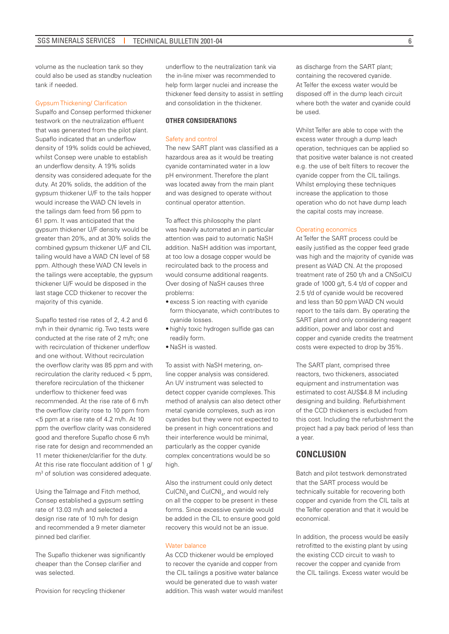volume as the nucleation tank so they could also be used as standby nucleation tank if needed.

### Gypsum Thickening/ Clarification

Supalfo and Consep performed thickener testwork on the neutralization effluent that was generated from the pilot plant. Supaflo indicated that an underflow density of 19% solids could be achieved, whilst Consep were unable to establish an underflow density. A 19% solids density was considered adequate for the duty. At 20% solids, the addition of the gypsum thickener U/F to the tails hopper would increase the WAD CN levels in the tailings dam feed from 56 ppm to 61 ppm. It was anticipated that the gypsum thickener U/F density would be greater than 20%, and at 30% solids the combined gypsum thickener U/F and CIL tailing would have a WAD CN level of 58 ppm. Although these WAD CN levels in the tailings were acceptable, the gypsum thickener U/F would be disposed in the last stage CCD thickener to recover the majority of this cyanide.

Supaflo tested rise rates of 2, 4.2 and 6 m/h in their dynamic rig. Two tests were conducted at the rise rate of 2 m/h; one with recirculation of thickener underflow and one without. Without recirculation the overflow clarity was 85 ppm and with recirculation the clarity reduced < 5 ppm, therefore recirculation of the thickener underflow to thickener feed was recommended. At the rise rate of 6 m/h the overflow clarity rose to 10 ppm from <5 ppm at a rise rate of 4.2 m/h. At 10 ppm the overflow clarity was considered good and therefore Supaflo chose 6 m/h rise rate for design and recommended an 11 meter thickener/clarifier for the duty. At this rise rate flocculant addition of 1 g/ m3 of solution was considered adequate.

Using the Talmage and Fitch method, Consep established a gypsum settling rate of 13.03 m/h and selected a design rise rate of 10 m/h for design and recommended a 9 meter diameter pinned bed clarifier.

The Supaflo thickener was significantly cheaper than the Consep clarifier and was selected.

Provision for recycling thickener

underflow to the neutralization tank via the in-line mixer was recommended to help form larger nuclei and increase the thickener feed density to assist in settling and consolidation in the thickener.

### **OTHER CONSIDERATIONS**

#### Safety and control

The new SART plant was classified as a hazardous area as it would be treating cyanide contaminated water in a low pH environment. Therefore the plant was located away from the main plant and was designed to operate without continual operator attention.

To affect this philosophy the plant was heavily automated an in particular attention was paid to automatic NaSH addition. NaSH addition was important, at too low a dosage copper would be recirculated back to the process and would consume additional reagents. Over dosing of NaSH causes three problems:

- excess S ion reacting with cyanide form thiocyanate, which contributes to cyanide losses.
- • highly toxic hydrogen sulfide gas can readily form.
- • NaSH is wasted.

To assist with NaSH metering, online copper analysis was considered. An UV instrument was selected to detect copper cyanide complexes. This method of analysis can also detect other metal cyanide complexes, such as iron cyanides but they were not expected to be present in high concentrations and their interference would be minimal, particularly as the copper cyanide complex concentrations would be so high.

Also the instrument could only detect  $Cu(CN)_{3}$  and  $Cu(CN)_{4}$ , and would rely on all the copper to be present in these forms. Since excessive cyanide would be added in the CIL to ensure good gold recovery this would not be an issue.

#### Water balance

As CCD thickener would be employed to recover the cyanide and copper from the CIL tailings a positive water balance would be generated due to wash water addition. This wash water would manifest

as discharge from the SART plant; containing the recovered cyanide. At Telfer the excess water would be disposed off in the dump leach circuit where both the water and cyanide could be used.

Whilst Telfer are able to cope with the excess water through a dump leach operation, techniques can be applied so that positive water balance is not created e.g. the use of belt filters to recover the cyanide copper from the CIL tailings. Whilst employing these techniques increase the application to those operation who do not have dump leach the capital costs may increase.

#### Operating economics

At Telfer the SART process could be easily justified as the copper feed grade was high and the majority of cyanide was present as WAD CN. At the proposed treatment rate of 250 t/h and a CNSolCU grade of 1000 g/t, 5.4 t/d of copper and 2.5 t/d of cyanide would be recovered and less than 50 ppm WAD CN would report to the tails dam. By operating the SART plant and only considering reagent addition, power and labor cost and copper and cyanide credits the treatment costs were expected to drop by 35%.

The SART plant, comprised three reactors, two thickeners, associated equipment and instrumentation was estimated to cost AUS\$4.8 M including designing and building. Refurbishment of the CCD thickeners is excluded from this cost. Including the refurbishment the project had a pay back period of less than a year.

# **CONCLUSION**

Batch and pilot testwork demonstrated that the SART process would be technically suitable for recovering both copper and cyanide from the CIL tails at the Telfer operation and that it would be economical.

In addition, the process would be easily retrofitted to the existing plant by using the existing CCD circuit to wash to recover the copper and cyanide from the CIL tailings. Excess water would be